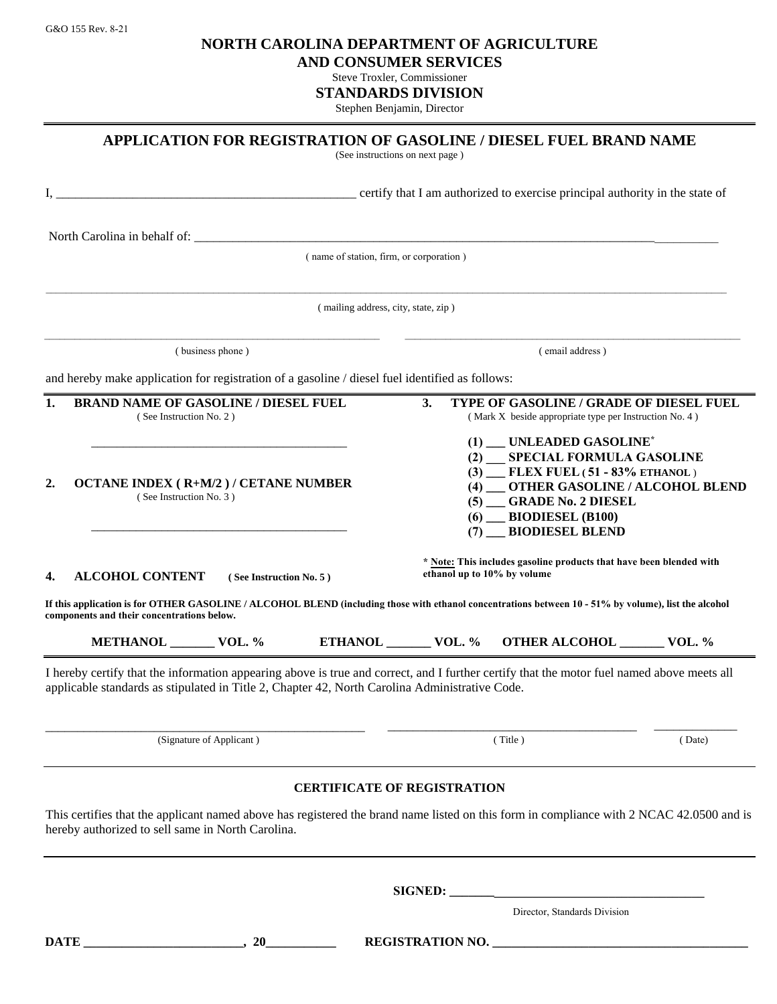G&O 155 Rev. 8-21 **NORTH CAROLINA DEPARTMENT OF AGRICULTURE**

**AND CONSUMER SERVICES**

Steve Troxler, Commissioner

**STANDARDS DIVISION**

Stephen Benjamin, Director

|                                                                                                 |                                                                             | (See instructions on next page)         |                                                                                                                                                                                                                                               | APPLICATION FOR REGISTRATION OF GASOLINE / DIESEL FUEL BRAND NAME                                                                                    |        |  |
|-------------------------------------------------------------------------------------------------|-----------------------------------------------------------------------------|-----------------------------------------|-----------------------------------------------------------------------------------------------------------------------------------------------------------------------------------------------------------------------------------------------|------------------------------------------------------------------------------------------------------------------------------------------------------|--------|--|
|                                                                                                 | ertify that I am authorized to exercise principal authority in the state of |                                         |                                                                                                                                                                                                                                               |                                                                                                                                                      |        |  |
|                                                                                                 |                                                                             |                                         |                                                                                                                                                                                                                                               |                                                                                                                                                      |        |  |
|                                                                                                 |                                                                             | (name of station, firm, or corporation) |                                                                                                                                                                                                                                               |                                                                                                                                                      |        |  |
|                                                                                                 |                                                                             | (mailing address, city, state, zip)     |                                                                                                                                                                                                                                               |                                                                                                                                                      |        |  |
| (business phone)                                                                                |                                                                             |                                         | (email address)                                                                                                                                                                                                                               |                                                                                                                                                      |        |  |
| and hereby make application for registration of a gasoline / diesel fuel identified as follows: |                                                                             |                                         |                                                                                                                                                                                                                                               |                                                                                                                                                      |        |  |
| 1.<br><b>BRAND NAME OF GASOLINE / DIESEL FUEL</b><br>(See Instruction No. 2)                    |                                                                             |                                         | 3.<br><b>TYPE OF GASOLINE / GRADE OF DIESEL FUEL</b><br>(Mark X beside appropriate type per Instruction No. 4)                                                                                                                                |                                                                                                                                                      |        |  |
| 2.<br><b>OCTANE INDEX (R+M/2)/ CETANE NUMBER</b><br>(See Instruction No. 3)                     |                                                                             |                                         | (1) UNLEADED GASOLINE*<br>SPECIAL FORMULA GASOLINE<br>(2)<br>FLEX FUEL (51 - 83% ETHANOL)<br>(3)<br><b>OTHER GASOLINE / ALCOHOL BLEND</b><br>(4)<br><b>GRADE No. 2 DIESEL</b><br>(5)<br>$(6)$ __ BIODIESEL $(B100)$<br>(7) __ BIODIESEL BLEND |                                                                                                                                                      |        |  |
| <b>ALCOHOL CONTENT</b><br>4.<br>(See Instruction No. 5)                                         |                                                                             |                                         | * Note: This includes gasoline products that have been blended with<br>ethanol up to 10% by volume                                                                                                                                            |                                                                                                                                                      |        |  |
| components and their concentrations below.                                                      |                                                                             |                                         |                                                                                                                                                                                                                                               | If this application is for OTHER GASOLINE / ALCOHOL BLEND (including those with ethanol concentrations between 10 - 51% by volume), list the alcohol |        |  |
| METHANOL VOL. %                                                                                 |                                                                             |                                         |                                                                                                                                                                                                                                               | ETHANOL _______ VOL. % OTHER ALCOHOL ______ VOL. %                                                                                                   |        |  |
| applicable standards as stipulated in Title 2, Chapter 42, North Carolina Administrative Code.  |                                                                             |                                         |                                                                                                                                                                                                                                               | I hereby certify that the information appearing above is true and correct, and I further certify that the motor fuel named above meets all           |        |  |
| (Signature of Applicant)                                                                        |                                                                             |                                         | (Title)                                                                                                                                                                                                                                       |                                                                                                                                                      | (Date) |  |
|                                                                                                 |                                                                             | <b>CERTIFICATE OF REGISTRATION</b>      |                                                                                                                                                                                                                                               |                                                                                                                                                      |        |  |
| hereby authorized to sell same in North Carolina.                                               |                                                                             |                                         |                                                                                                                                                                                                                                               | This certifies that the applicant named above has registered the brand name listed on this form in compliance with 2 NCAC 42.0500 and is             |        |  |
|                                                                                                 |                                                                             |                                         | SIGNED:                                                                                                                                                                                                                                       |                                                                                                                                                      |        |  |
|                                                                                                 |                                                                             |                                         |                                                                                                                                                                                                                                               | Director, Standards Division                                                                                                                         |        |  |

**DATE \_\_\_\_\_\_\_\_\_\_\_\_\_\_\_\_\_\_\_\_\_\_\_\_\_, 20\_\_\_\_\_\_\_\_\_\_\_ REGISTRATION NO. \_\_\_\_\_\_\_\_\_\_\_\_\_\_\_\_\_\_\_\_\_\_\_\_\_\_\_\_\_\_\_\_\_\_\_\_\_\_\_\_**